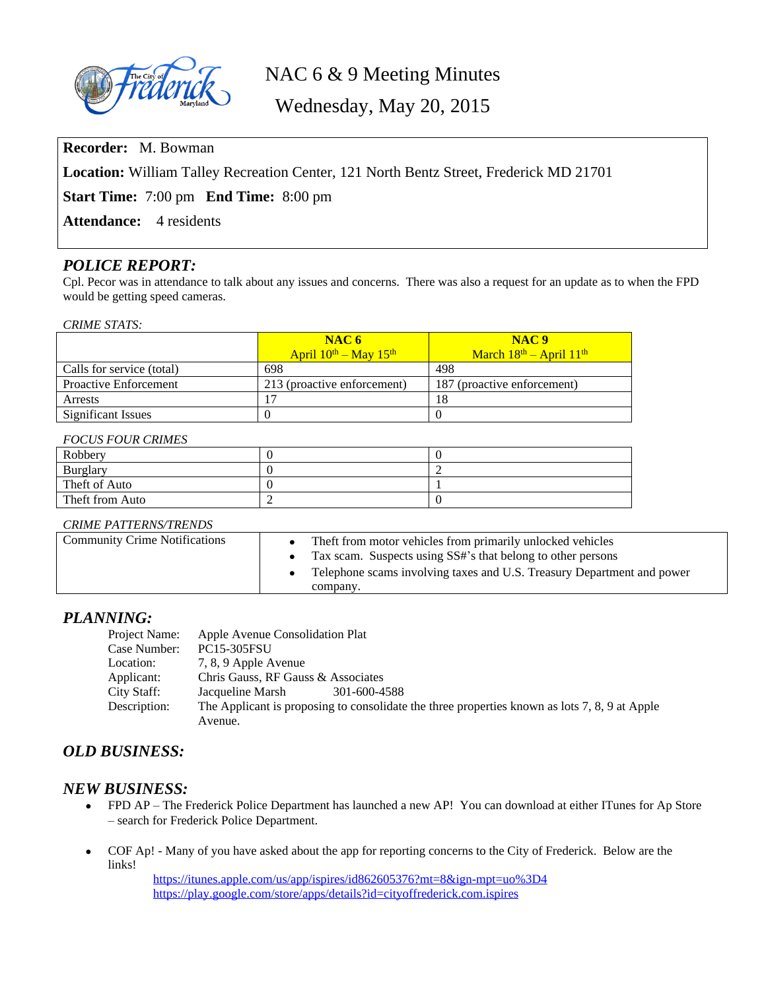

# NAC 6 & 9 Meeting Minutes

Wednesday, May 20, 2015

**Recorder:** M. Bowman

**Location:** William Talley Recreation Center, 121 North Bentz Street, Frederick MD 21701

**Start Time:** 7:00 pm **End Time:** 8:00 pm

Attendance: 4 residents

## *POLICE REPORT:*

Cpl. Pecor was in attendance to talk about any issues and concerns. There was also a request for an update as to when the FPD would be getting speed cameras.

#### *CRIME STATS:*

|                              | NAC6                            | NAC <sub>9</sub>            |
|------------------------------|---------------------------------|-----------------------------|
|                              | April $10^{th}$ – May $15^{th}$ | March $18th$ – April $11th$ |
| Calls for service (total)    | 698                             | 498                         |
| <b>Proactive Enforcement</b> | 213 (proactive enforcement)     | 187 (proactive enforcement) |
| Arrests                      |                                 | 18                          |
| Significant Issues           |                                 |                             |

#### *FOCUS FOUR CRIMES*

| Robbery         |  |
|-----------------|--|
| Burglary        |  |
| Theft of Auto   |  |
| Theft from Auto |  |

#### *CRIME PATTERNS/TRENDS*

| <b>Community Crime Notifications</b> | The ft from motor vehicles from primarily unlocked vehicles<br>Tax scam. Suspects using SS#'s that belong to other persons |
|--------------------------------------|----------------------------------------------------------------------------------------------------------------------------|
|                                      | Telephone scams involving taxes and U.S. Treasury Department and power<br>company.                                         |

### *PLANNING:*

| Project Name: | Apple Avenue Consolidation Plat                                                               |  |  |
|---------------|-----------------------------------------------------------------------------------------------|--|--|
| Case Number:  | <b>PC15-305FSU</b>                                                                            |  |  |
| Location:     | 7, 8, 9 Apple Avenue                                                                          |  |  |
| Applicant:    | Chris Gauss, RF Gauss & Associates                                                            |  |  |
| City Staff:   | Jacqueline Marsh<br>301-600-4588                                                              |  |  |
| Description:  | The Applicant is proposing to consolidate the three properties known as lots 7, 8, 9 at Apple |  |  |
|               | Avenue.                                                                                       |  |  |

# *OLD BUSINESS:*

### *NEW BUSINESS:*

- FPD AP The Frederick Police Department has launched a new AP! You can download at either ITunes for Ap Store – search for Frederick Police Department.
- COF Ap! Many of you have asked about the app for reporting concerns to the City of Frederick. Below are the links!

<https://itunes.apple.com/us/app/ispires/id862605376?mt=8&ign-mpt=uo%3D4> <https://play.google.com/store/apps/details?id=cityoffrederick.com.ispires>